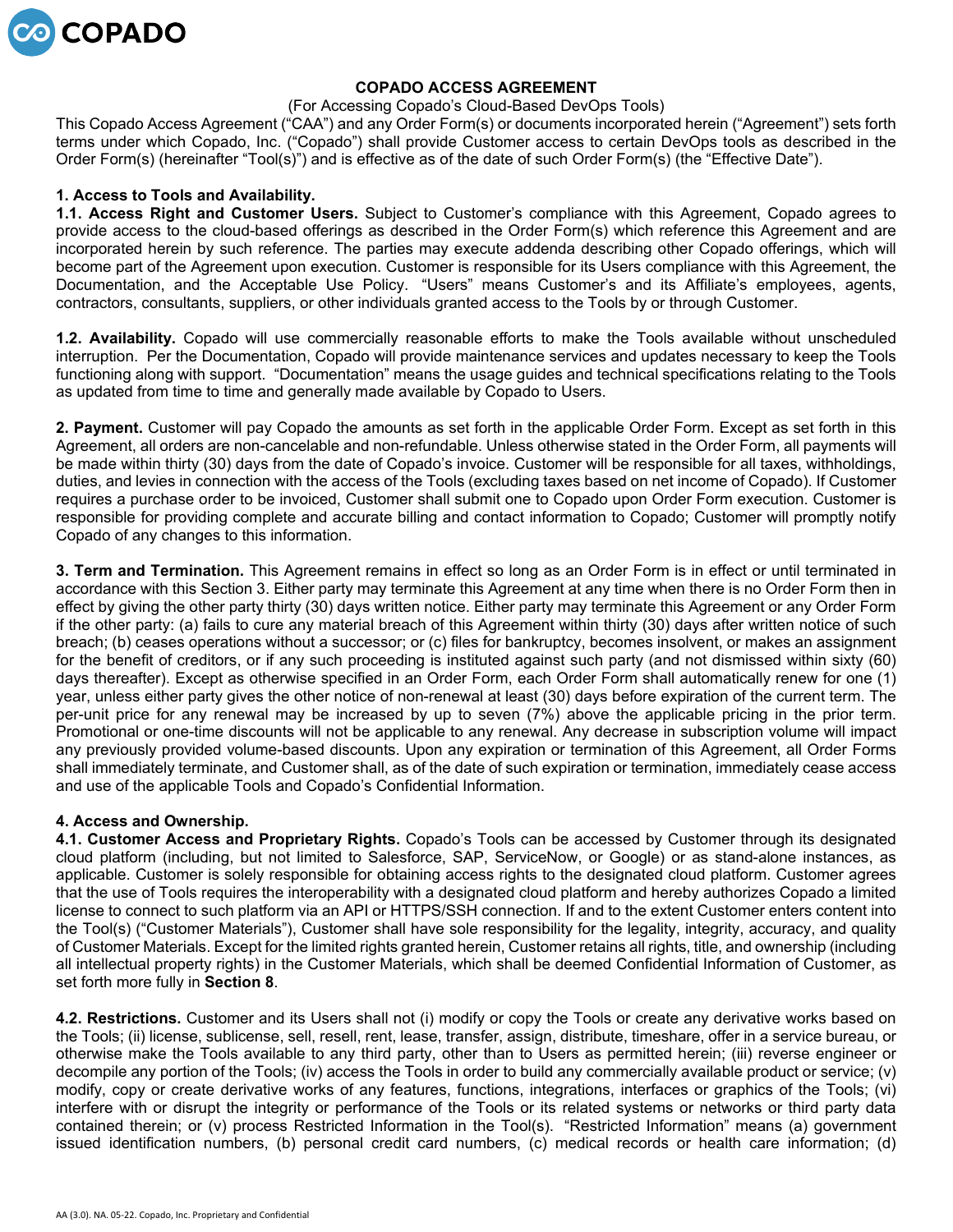

## **COPADO ACCESS AGREEMENT**

### (For Accessing Copado's Cloud-Based DevOps Tools)

This Copado Access Agreement ("CAA") and any Order Form(s) or documents incorporated herein ("Agreement") sets forth terms under which Copado, Inc. ("Copado") shall provide Customer access to certain DevOps tools as described in the Order Form(s) (hereinafter "Tool(s)") and is effective as of the date of such Order Form(s) (the "Effective Date").

# **1. Access to Tools and Availability.**

**1.1. Access Right and Customer Users.** Subject to Customer's compliance with this Agreement, Copado agrees to provide access to the cloud-based offerings as described in the Order Form(s) which reference this Agreement and are incorporated herein by such reference. The parties may execute addenda describing other Copado offerings, which will become part of the Agreement upon execution. Customer is responsible for its Users compliance with this Agreement, the Documentation, and the Acceptable Use Policy. "Users" means Customer's and its Affiliate's employees, agents, contractors, consultants, suppliers, or other individuals granted access to the Tools by or through Customer.

**1.2. Availability.** Copado will use commercially reasonable efforts to make the Tools available without unscheduled interruption. Per the Documentation, Copado will provide maintenance services and updates necessary to keep the Tools functioning along with support. "Documentation" means the usage guides and technical specifications relating to the Tools as updated from time to time and generally made available by Copado to Users.

**2. Payment.** Customer will pay Copado the amounts as set forth in the applicable Order Form. Except as set forth in this Agreement, all orders are non-cancelable and non-refundable. Unless otherwise stated in the Order Form, all payments will be made within thirty (30) days from the date of Copado's invoice. Customer will be responsible for all taxes, withholdings, duties, and levies in connection with the access of the Tools (excluding taxes based on net income of Copado). If Customer requires a purchase order to be invoiced, Customer shall submit one to Copado upon Order Form execution. Customer is responsible for providing complete and accurate billing and contact information to Copado; Customer will promptly notify Copado of any changes to this information.

**3. Term and Termination.** This Agreement remains in effect so long as an Order Form is in effect or until terminated in accordance with this Section 3. Either party may terminate this Agreement at any time when there is no Order Form then in effect by giving the other party thirty (30) days written notice. Either party may terminate this Agreement or any Order Form if the other party: (a) fails to cure any material breach of this Agreement within thirty (30) days after written notice of such breach; (b) ceases operations without a successor; or (c) files for bankruptcy, becomes insolvent, or makes an assignment for the benefit of creditors, or if any such proceeding is instituted against such party (and not dismissed within sixty (60) days thereafter). Except as otherwise specified in an Order Form, each Order Form shall automatically renew for one (1) year, unless either party gives the other notice of non-renewal at least (30) days before expiration of the current term. The per-unit price for any renewal may be increased by up to seven (7%) above the applicable pricing in the prior term. Promotional or one-time discounts will not be applicable to any renewal. Any decrease in subscription volume will impact any previously provided volume-based discounts. Upon any expiration or termination of this Agreement, all Order Forms shall immediately terminate, and Customer shall, as of the date of such expiration or termination, immediately cease access and use of the applicable Tools and Copado's Confidential Information.

## **4. Access and Ownership.**

**4.1. Customer Access and Proprietary Rights.** Copado's Tools can be accessed by Customer through its designated cloud platform (including, but not limited to Salesforce, SAP, ServiceNow, or Google) or as stand-alone instances, as applicable. Customer is solely responsible for obtaining access rights to the designated cloud platform. Customer agrees that the use of Tools requires the interoperability with a designated cloud platform and hereby authorizes Copado a limited license to connect to such platform via an API or HTTPS/SSH connection. If and to the extent Customer enters content into the Tool(s) ("Customer Materials"), Customer shall have sole responsibility for the legality, integrity, accuracy, and quality of Customer Materials. Except for the limited rights granted herein, Customer retains all rights, title, and ownership (including all intellectual property rights) in the Customer Materials, which shall be deemed Confidential Information of Customer, as set forth more fully in **Section 8**.

**4.2. Restrictions.** Customer and its Users shall not (i) modify or copy the Tools or create any derivative works based on the Tools; (ii) license, sublicense, sell, resell, rent, lease, transfer, assign, distribute, timeshare, offer in a service bureau, or otherwise make the Tools available to any third party, other than to Users as permitted herein; (iii) reverse engineer or decompile any portion of the Tools; (iv) access the Tools in order to build any commercially available product or service; (v) modify, copy or create derivative works of any features, functions, integrations, interfaces or graphics of the Tools; (vi) interfere with or disrupt the integrity or performance of the Tools or its related systems or networks or third party data contained therein; or (v) process Restricted Information in the Tool(s). "Restricted Information" means (a) government issued identification numbers, (b) personal credit card numbers, (c) medical records or health care information; (d)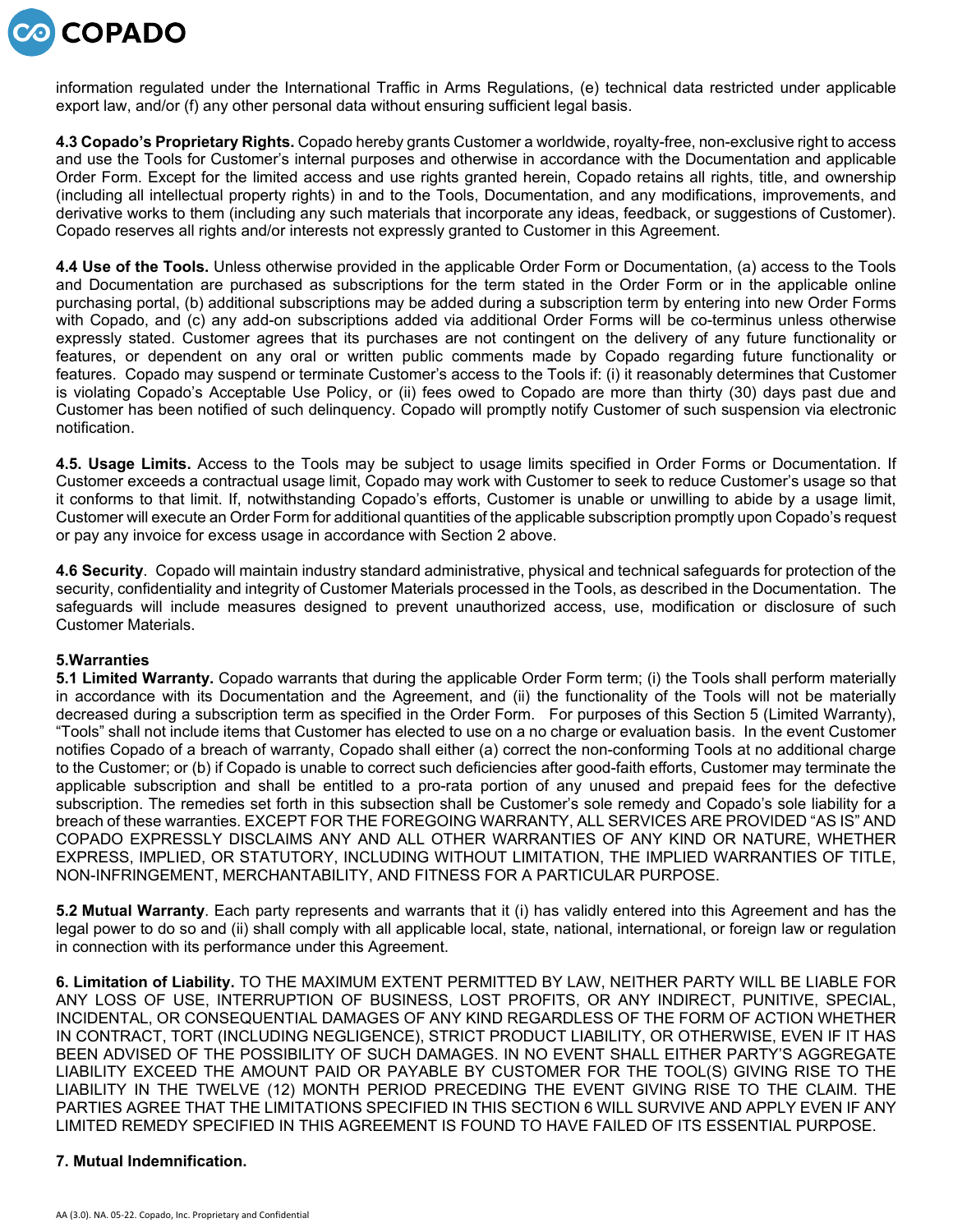

information regulated under the International Traffic in Arms Regulations, (e) technical data restricted under applicable export law, and/or (f) any other personal data without ensuring sufficient legal basis.

**4.3 Copado's Proprietary Rights.** Copado hereby grants Customer a worldwide, royalty-free, non-exclusive right to access and use the Tools for Customer's internal purposes and otherwise in accordance with the Documentation and applicable Order Form. Except for the limited access and use rights granted herein, Copado retains all rights, title, and ownership (including all intellectual property rights) in and to the Tools, Documentation, and any modifications, improvements, and derivative works to them (including any such materials that incorporate any ideas, feedback, or suggestions of Customer). Copado reserves all rights and/or interests not expressly granted to Customer in this Agreement.

**4.4 Use of the Tools.** Unless otherwise provided in the applicable Order Form or Documentation, (a) access to the Tools and Documentation are purchased as subscriptions for the term stated in the Order Form or in the applicable online purchasing portal, (b) additional subscriptions may be added during a subscription term by entering into new Order Forms with Copado, and (c) any add-on subscriptions added via additional Order Forms will be co-terminus unless otherwise expressly stated. Customer agrees that its purchases are not contingent on the delivery of any future functionality or features, or dependent on any oral or written public comments made by Copado regarding future functionality or features. Copado may suspend or terminate Customer's access to the Tools if: (i) it reasonably determines that Customer is violating Copado's Acceptable Use Policy, or (ii) fees owed to Copado are more than thirty (30) days past due and Customer has been notified of such delinquency. Copado will promptly notify Customer of such suspension via electronic notification.

**4.5. Usage Limits.** Access to the Tools may be subject to usage limits specified in Order Forms or Documentation. If Customer exceeds a contractual usage limit, Copado may work with Customer to seek to reduce Customer's usage so that it conforms to that limit. If, notwithstanding Copado's efforts, Customer is unable or unwilling to abide by a usage limit, Customer will execute an Order Form for additional quantities of the applicable subscription promptly upon Copado's request or pay any invoice for excess usage in accordance with Section 2 above.

**4.6 Security**. Copado will maintain industry standard administrative, physical and technical safeguards for protection of the security, confidentiality and integrity of Customer Materials processed in the Tools, as described in the Documentation. The safeguards will include measures designed to prevent unauthorized access, use, modification or disclosure of such Customer Materials.

## **5.Warranties**

**5.1 Limited Warranty.** Copado warrants that during the applicable Order Form term; (i) the Tools shall perform materially in accordance with its Documentation and the Agreement, and (ii) the functionality of the Tools will not be materially decreased during a subscription term as specified in the Order Form. For purposes of this Section 5 (Limited Warranty), "Tools" shall not include items that Customer has elected to use on a no charge or evaluation basis. In the event Customer notifies Copado of a breach of warranty, Copado shall either (a) correct the non-conforming Tools at no additional charge to the Customer; or (b) if Copado is unable to correct such deficiencies after good-faith efforts, Customer may terminate the applicable subscription and shall be entitled to a pro-rata portion of any unused and prepaid fees for the defective subscription. The remedies set forth in this subsection shall be Customer's sole remedy and Copado's sole liability for a breach of these warranties. EXCEPT FOR THE FOREGOING WARRANTY, ALL SERVICES ARE PROVIDED "AS IS" AND COPADO EXPRESSLY DISCLAIMS ANY AND ALL OTHER WARRANTIES OF ANY KIND OR NATURE, WHETHER EXPRESS, IMPLIED, OR STATUTORY, INCLUDING WITHOUT LIMITATION, THE IMPLIED WARRANTIES OF TITLE, NON-INFRINGEMENT, MERCHANTABILITY, AND FITNESS FOR A PARTICULAR PURPOSE.

**5.2 Mutual Warranty**. Each party represents and warrants that it (i) has validly entered into this Agreement and has the legal power to do so and (ii) shall comply with all applicable local, state, national, international, or foreign law or regulation in connection with its performance under this Agreement.

**6. Limitation of Liability.** TO THE MAXIMUM EXTENT PERMITTED BY LAW, NEITHER PARTY WILL BE LIABLE FOR ANY LOSS OF USE, INTERRUPTION OF BUSINESS, LOST PROFITS, OR ANY INDIRECT, PUNITIVE, SPECIAL, INCIDENTAL, OR CONSEQUENTIAL DAMAGES OF ANY KIND REGARDLESS OF THE FORM OF ACTION WHETHER IN CONTRACT, TORT (INCLUDING NEGLIGENCE), STRICT PRODUCT LIABILITY, OR OTHERWISE, EVEN IF IT HAS BEEN ADVISED OF THE POSSIBILITY OF SUCH DAMAGES. IN NO EVENT SHALL EITHER PARTY'S AGGREGATE LIABILITY EXCEED THE AMOUNT PAID OR PAYABLE BY CUSTOMER FOR THE TOOL(S) GIVING RISE TO THE LIABILITY IN THE TWELVE (12) MONTH PERIOD PRECEDING THE EVENT GIVING RISE TO THE CLAIM. THE PARTIES AGREE THAT THE LIMITATIONS SPECIFIED IN THIS SECTION 6 WILL SURVIVE AND APPLY EVEN IF ANY LIMITED REMEDY SPECIFIED IN THIS AGREEMENT IS FOUND TO HAVE FAILED OF ITS ESSENTIAL PURPOSE.

## **7. Mutual Indemnification.**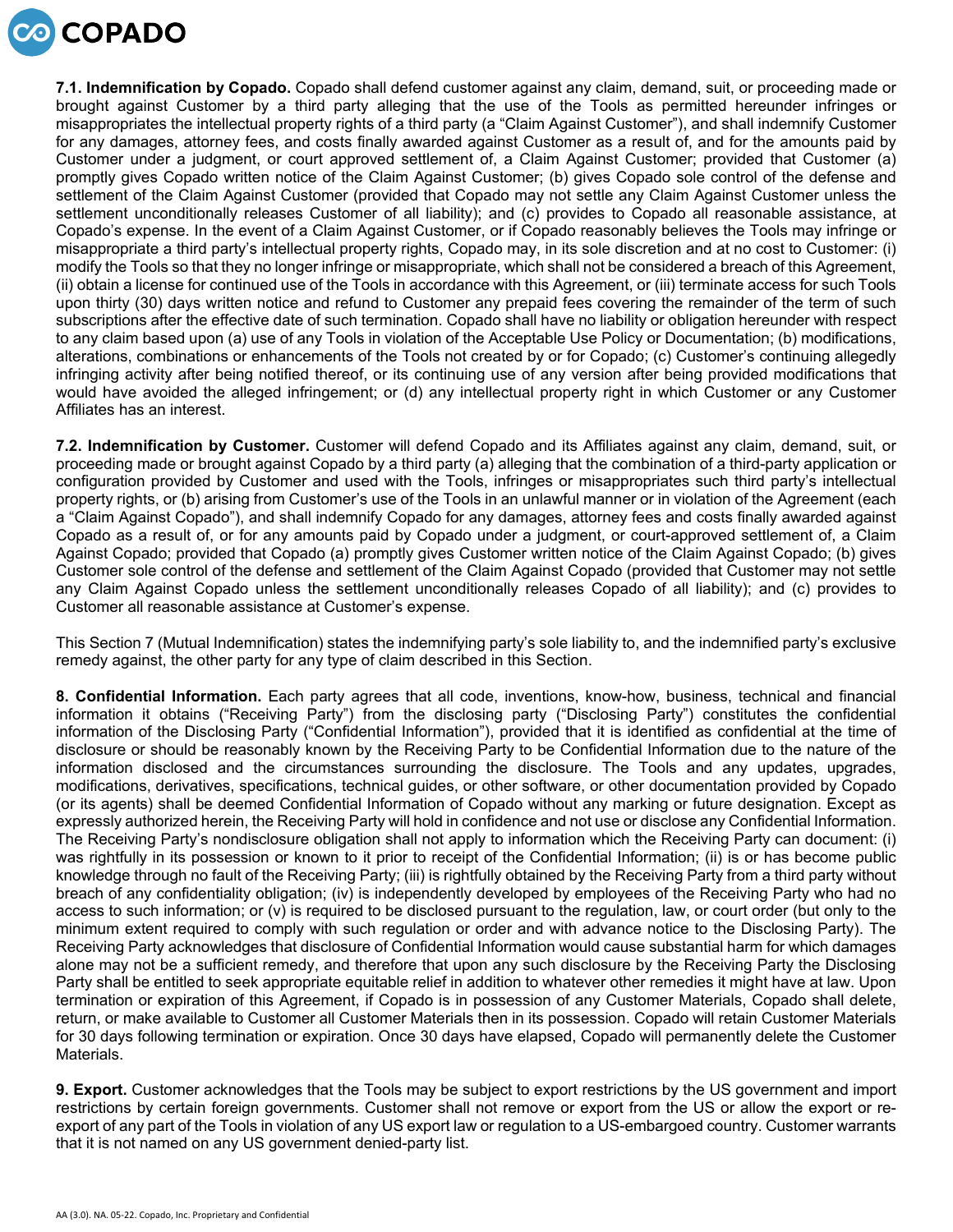

**7.1. Indemnification by Copado.** Copado shall defend customer against any claim, demand, suit, or proceeding made or brought against Customer by a third party alleging that the use of the Tools as permitted hereunder infringes or misappropriates the intellectual property rights of a third party (a "Claim Against Customer"), and shall indemnify Customer for any damages, attorney fees, and costs finally awarded against Customer as a result of, and for the amounts paid by Customer under a judgment, or court approved settlement of, a Claim Against Customer; provided that Customer (a) promptly gives Copado written notice of the Claim Against Customer; (b) gives Copado sole control of the defense and settlement of the Claim Against Customer (provided that Copado may not settle any Claim Against Customer unless the settlement unconditionally releases Customer of all liability); and (c) provides to Copado all reasonable assistance, at Copado's expense. In the event of a Claim Against Customer, or if Copado reasonably believes the Tools may infringe or misappropriate a third party's intellectual property rights, Copado may, in its sole discretion and at no cost to Customer: (i) modify the Tools so that they no longer infringe or misappropriate, which shall not be considered a breach of this Agreement, (ii) obtain a license for continued use of the Tools in accordance with this Agreement, or (iii) terminate access for such Tools upon thirty (30) days written notice and refund to Customer any prepaid fees covering the remainder of the term of such subscriptions after the effective date of such termination. Copado shall have no liability or obligation hereunder with respect to any claim based upon (a) use of any Tools in violation of the Acceptable Use Policy or Documentation; (b) modifications, alterations, combinations or enhancements of the Tools not created by or for Copado; (c) Customer's continuing allegedly infringing activity after being notified thereof, or its continuing use of any version after being provided modifications that would have avoided the alleged infringement; or (d) any intellectual property right in which Customer or any Customer Affiliates has an interest.

**7.2. Indemnification by Customer.** Customer will defend Copado and its Affiliates against any claim, demand, suit, or proceeding made or brought against Copado by a third party (a) alleging that the combination of a third-party application or configuration provided by Customer and used with the Tools, infringes or misappropriates such third party's intellectual property rights, or (b) arising from Customer's use of the Tools in an unlawful manner or in violation of the Agreement (each a "Claim Against Copado"), and shall indemnify Copado for any damages, attorney fees and costs finally awarded against Copado as a result of, or for any amounts paid by Copado under a judgment, or court-approved settlement of, a Claim Against Copado; provided that Copado (a) promptly gives Customer written notice of the Claim Against Copado; (b) gives Customer sole control of the defense and settlement of the Claim Against Copado (provided that Customer may not settle any Claim Against Copado unless the settlement unconditionally releases Copado of all liability); and (c) provides to Customer all reasonable assistance at Customer's expense.

This Section 7 (Mutual Indemnification) states the indemnifying party's sole liability to, and the indemnified party's exclusive remedy against, the other party for any type of claim described in this Section.

**8. Confidential Information.** Each party agrees that all code, inventions, know-how, business, technical and financial information it obtains ("Receiving Party") from the disclosing party ("Disclosing Party") constitutes the confidential information of the Disclosing Party ("Confidential Information"), provided that it is identified as confidential at the time of disclosure or should be reasonably known by the Receiving Party to be Confidential Information due to the nature of the information disclosed and the circumstances surrounding the disclosure. The Tools and any updates, upgrades, modifications, derivatives, specifications, technical guides, or other software, or other documentation provided by Copado (or its agents) shall be deemed Confidential Information of Copado without any marking or future designation. Except as expressly authorized herein, the Receiving Party will hold in confidence and not use or disclose any Confidential Information. The Receiving Party's nondisclosure obligation shall not apply to information which the Receiving Party can document: (i) was rightfully in its possession or known to it prior to receipt of the Confidential Information; (ii) is or has become public knowledge through no fault of the Receiving Party; (iii) is rightfully obtained by the Receiving Party from a third party without breach of any confidentiality obligation; (iv) is independently developed by employees of the Receiving Party who had no access to such information; or (v) is required to be disclosed pursuant to the regulation, law, or court order (but only to the minimum extent required to comply with such regulation or order and with advance notice to the Disclosing Party). The Receiving Party acknowledges that disclosure of Confidential Information would cause substantial harm for which damages alone may not be a sufficient remedy, and therefore that upon any such disclosure by the Receiving Party the Disclosing Party shall be entitled to seek appropriate equitable relief in addition to whatever other remedies it might have at law. Upon termination or expiration of this Agreement, if Copado is in possession of any Customer Materials, Copado shall delete, return, or make available to Customer all Customer Materials then in its possession. Copado will retain Customer Materials for 30 days following termination or expiration. Once 30 days have elapsed, Copado will permanently delete the Customer Materials.

**9. Export.** Customer acknowledges that the Tools may be subject to export restrictions by the US government and import restrictions by certain foreign governments. Customer shall not remove or export from the US or allow the export or reexport of any part of the Tools in violation of any US export law or regulation to a US-embargoed country. Customer warrants that it is not named on any US government denied-party list.